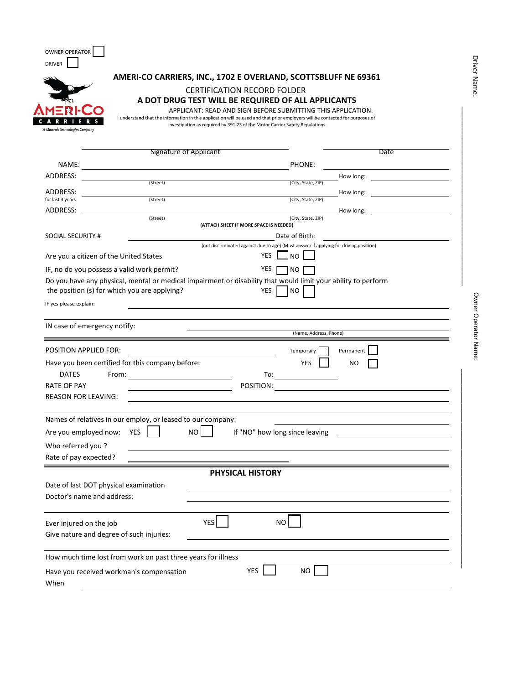| OWNER OPERATOR       |
|----------------------|
| DRIVER               |
|                      |
|                      |
| ®<br><b>AMERI-CO</b> |
|                      |
| R R I<br>- 6         |
| $\cdots$ $\cdots$    |

 $\overline{a}$  $\overline{\phantom{0}}$ 

#### **AMERI-CO CARRIERS, INC., 1702 E OVERLAND, SCOTTSBLUFF NE 69361**

## CERTIFICATION RECORD FOLDER **A DOT DRUG TEST WILL BE REQUIRED OF ALL APPLICANTS**

APPLICANT: READ AND SIGN BEFORE SUBMITTING THIS APPLICATION.

A Minerals Technologies Company

| I understand that the information in this application will be used and that prior employers will be contacted for purposes of |
|-------------------------------------------------------------------------------------------------------------------------------|
| investigation as required by 391.23 of the Motor Carrier Safety Regulations                                                   |
|                                                                                                                               |
|                                                                                                                               |

|                            | <b>Signature of Applicant</b>                                                                                                                                 |                                                                                                                  | Date           |
|----------------------------|---------------------------------------------------------------------------------------------------------------------------------------------------------------|------------------------------------------------------------------------------------------------------------------|----------------|
| NAME:                      |                                                                                                                                                               | PHONE:                                                                                                           |                |
| <b>ADDRESS:</b>            |                                                                                                                                                               |                                                                                                                  | How long:      |
| ADDRESS:                   | (Street)                                                                                                                                                      | (City, State, ZIP)                                                                                               | How long:      |
| for last 3 years           | (Street)                                                                                                                                                      | (City, State, ZIP)                                                                                               |                |
| ADDRESS:                   |                                                                                                                                                               |                                                                                                                  | How long:      |
|                            | (Street)                                                                                                                                                      | (City, State, ZIP)<br>(ATTACH SHEET IF MORE SPACE IS NEEDED)                                                     |                |
| <b>SOCIAL SECURITY #</b>   |                                                                                                                                                               | Date of Birth:                                                                                                   |                |
|                            | Are you a citizen of the United States                                                                                                                        | (not discriminated against due to age) (Must answer if applying for driving position)<br><b>YES</b><br><b>NO</b> |                |
|                            | IF, no do you possess a valid work permit?                                                                                                                    | <b>YES</b><br><b>NO</b>                                                                                          |                |
| IF yes please explain:     | Do you have any physical, mental or medical impairment or disability that would limit your ability to perform<br>the position (s) for which you are applying? | <b>NO</b><br>YES                                                                                                 |                |
|                            | IN case of emergency notify:                                                                                                                                  | (Name, Address, Phone)                                                                                           |                |
|                            |                                                                                                                                                               |                                                                                                                  |                |
| POSITION APPLIED FOR:      |                                                                                                                                                               | Temporary                                                                                                        | Permanent      |
|                            | Have you been certified for this company before:                                                                                                              | <b>YES</b>                                                                                                       | N <sub>O</sub> |
| <b>DATES</b>               | From:                                                                                                                                                         | To:                                                                                                              |                |
| <b>RATE OF PAY</b>         |                                                                                                                                                               | POSITION:                                                                                                        |                |
| <b>REASON FOR LEAVING:</b> |                                                                                                                                                               |                                                                                                                  |                |
|                            | Names of relatives in our employ, or leased to our company:                                                                                                   |                                                                                                                  |                |
|                            | NO<br>YES                                                                                                                                                     | If "NO" how long since leaving                                                                                   |                |
| Are you employed now:      |                                                                                                                                                               |                                                                                                                  |                |
| Who referred you?          |                                                                                                                                                               |                                                                                                                  |                |
| Rate of pay expected?      |                                                                                                                                                               |                                                                                                                  |                |
|                            |                                                                                                                                                               | <b>PHYSICAL HISTORY</b>                                                                                          |                |
|                            | Date of last DOT physical examination                                                                                                                         |                                                                                                                  |                |
|                            | Doctor's name and address:                                                                                                                                    |                                                                                                                  |                |
|                            |                                                                                                                                                               |                                                                                                                  |                |
| Ever injured on the job    | <b>YES</b>                                                                                                                                                    | <b>NO</b>                                                                                                        |                |
|                            | Give nature and degree of such injuries:                                                                                                                      |                                                                                                                  |                |
|                            |                                                                                                                                                               |                                                                                                                  |                |
|                            | How much time lost from work on past three years for illness                                                                                                  |                                                                                                                  |                |
|                            | Have you received workman's compensation                                                                                                                      | <b>YES</b><br>NO                                                                                                 |                |
| When                       |                                                                                                                                                               |                                                                                                                  |                |

\_\_\_\_\_\_\_\_\_\_\_\_\_\_\_\_\_\_\_\_\_\_\_\_\_\_\_\_\_\_\_\_\_\_\_\_\_\_\_\_\_\_\_\_\_\_\_\_\_\_\_\_

 $\mathcal{L}_\text{max}$  and  $\mathcal{L}_\text{max}$  and  $\mathcal{L}_\text{max}$  and  $\mathcal{L}_\text{max}$  and  $\mathcal{L}_\text{max}$  and  $\mathcal{L}_\text{max}$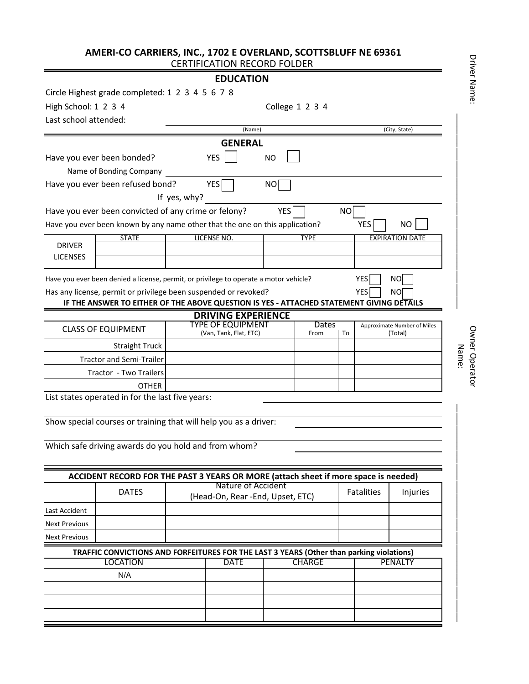# **AMERI-CO CARRIERS, INC., 1702 E OVERLAND, SCOTTSBLUFF NE 69361** CERTIFICATION RECORD FOLDER

# **EDUCATION**

|                                                               | Circle Highest grade completed: 1 2 3 4 5 6 7 8                                                             |              |                                                       |            |                 |                 |                   |                             |                         |
|---------------------------------------------------------------|-------------------------------------------------------------------------------------------------------------|--------------|-------------------------------------------------------|------------|-----------------|-----------------|-------------------|-----------------------------|-------------------------|
| High School: 1 2 3 4                                          |                                                                                                             |              |                                                       |            | College 1 2 3 4 |                 |                   |                             |                         |
| Last school attended:                                         |                                                                                                             |              |                                                       |            |                 |                 |                   |                             |                         |
|                                                               |                                                                                                             |              | (Name)                                                |            |                 |                 |                   | (City, State)               |                         |
|                                                               |                                                                                                             |              | <b>GENERAL</b>                                        |            |                 |                 |                   |                             |                         |
|                                                               | Have you ever been bonded?                                                                                  |              | <b>YES</b>                                            | <b>NO</b>  |                 |                 |                   |                             |                         |
|                                                               | Name of Bonding Company                                                                                     |              |                                                       |            |                 |                 |                   |                             |                         |
|                                                               | Have you ever been refused bond?                                                                            |              | YES                                                   | NO         |                 |                 |                   |                             |                         |
|                                                               |                                                                                                             | If yes, why? |                                                       |            |                 |                 |                   |                             |                         |
|                                                               | Have you ever been convicted of any crime or felony?                                                        |              |                                                       | <b>YES</b> |                 | NO <sub>1</sub> |                   |                             |                         |
|                                                               | Have you ever been known by any name other that the one on this application?                                |              |                                                       |            |                 |                 | <b>YES</b>        | NO.                         |                         |
| <b>DRIVER</b>                                                 | <b>STATE</b>                                                                                                |              | LICENSE NO.                                           |            | <b>TYPE</b>     |                 |                   | <b>EXPIRATION DATE</b>      |                         |
| <b>LICENSES</b>                                               |                                                                                                             |              |                                                       |            |                 |                 |                   |                             |                         |
|                                                               |                                                                                                             |              |                                                       |            |                 |                 |                   |                             |                         |
|                                                               | Have you ever been denied a license, permit, or privilege to operate a motor vehicle?                       |              |                                                       |            |                 |                 | YES               | <b>NO</b>                   |                         |
|                                                               | Has any license, permit or privilege been suspended or revoked?                                             |              |                                                       |            |                 |                 | YES               | NO                          |                         |
|                                                               | IF THE ANSWER TO EITHER OF THE ABOVE QUESTION IS YES - ATTACHED STATEMENT GIVING DETAILS                    |              |                                                       |            |                 |                 |                   |                             |                         |
|                                                               |                                                                                                             |              | <b>DRIVING EXPERIENCE</b><br><b>TYPE OF EQUIPMENT</b> |            | <b>Dates</b>    |                 |                   | Approximate Number of Miles |                         |
|                                                               | <b>CLASS OF EQUIPMENT</b>                                                                                   |              | (Van, Tank, Flat, ETC)                                |            | From            | To              |                   | (Total)                     |                         |
|                                                               | <b>Straight Truck</b>                                                                                       |              |                                                       |            |                 |                 |                   |                             |                         |
|                                                               | <b>Tractor and Semi-Trailer</b>                                                                             |              |                                                       |            |                 |                 |                   |                             | Owner Operator<br>Name: |
| Tractor - Two Trailers                                        |                                                                                                             |              |                                                       |            |                 |                 |                   |                             |                         |
|                                                               | <b>OTHER</b>                                                                                                |              |                                                       |            |                 |                 |                   |                             |                         |
|                                                               | List states operated in for the last five years:                                                            |              |                                                       |            |                 |                 |                   |                             |                         |
|                                                               |                                                                                                             |              |                                                       |            |                 |                 |                   |                             |                         |
|                                                               | Show special courses or training that will help you as a driver:                                            |              |                                                       |            |                 |                 |                   |                             |                         |
|                                                               |                                                                                                             |              |                                                       |            |                 |                 |                   |                             |                         |
|                                                               |                                                                                                             |              |                                                       |            |                 |                 |                   |                             |                         |
|                                                               | Which safe driving awards do you hold and from whom?                                                        |              |                                                       |            |                 |                 |                   |                             |                         |
|                                                               |                                                                                                             |              |                                                       |            |                 |                 |                   |                             |                         |
|                                                               | ACCIDENT RECORD FOR THE PAST 3 YEARS OR MORE (attach sheet if more space is needed)                         |              |                                                       |            |                 |                 |                   |                             |                         |
|                                                               | <b>DATES</b>                                                                                                |              | Nature of Accident                                    |            |                 |                 | <b>Fatalities</b> | Injuries                    |                         |
|                                                               |                                                                                                             |              | (Head-On, Rear -End, Upset, ETC)                      |            |                 |                 |                   |                             |                         |
|                                                               |                                                                                                             |              |                                                       |            |                 |                 |                   |                             |                         |
|                                                               |                                                                                                             |              |                                                       |            |                 |                 |                   |                             |                         |
|                                                               |                                                                                                             |              |                                                       |            |                 |                 |                   |                             |                         |
|                                                               | TRAFFIC CONVICTIONS AND FORFEITURES FOR THE LAST 3 YEARS (Other than parking violations)<br><b>LOCATION</b> |              | <b>DATE</b>                                           |            | <b>CHARGE</b>   |                 |                   | <b>PENALTY</b>              |                         |
| Last Accident<br><b>Next Previous</b><br><b>Next Previous</b> | N/A                                                                                                         |              |                                                       |            |                 |                 |                   |                             |                         |
|                                                               |                                                                                                             |              |                                                       |            |                 |                 |                   |                             |                         |
|                                                               |                                                                                                             |              |                                                       |            |                 |                 |                   |                             |                         |

Driver Name: Driver Name: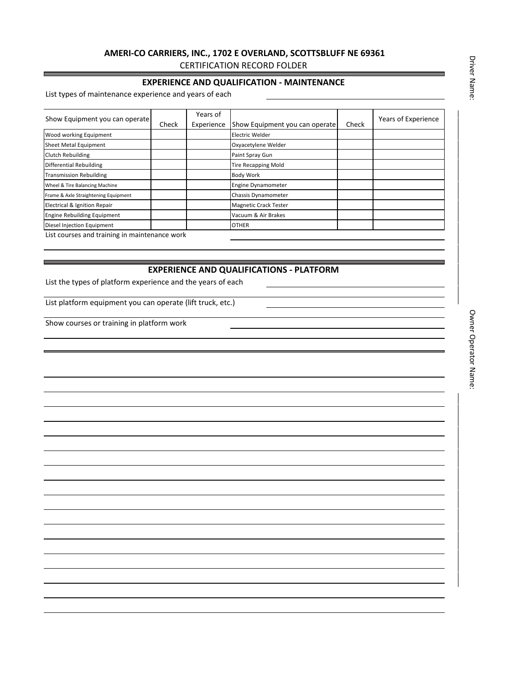## **AMERI-CO CARRIERS, INC., 1702 E OVERLAND, SCOTTSBLUFF NE 69361** CERTIFICATION RECORD FOLDER

#### **EXPERIENCE AND QUALIFICATION - MAINTENANCE**

List types of maintenance experience and years of each

| Show Equipment you can operate                | Check | Years of<br>Experience | Show Equipment you can operate | Check | Years of Experience |
|-----------------------------------------------|-------|------------------------|--------------------------------|-------|---------------------|
| Wood working Equipment                        |       |                        | Electric Welder                |       |                     |
| Sheet Metal Equipment                         |       |                        | Oxyacetylene Welder            |       |                     |
| Clutch Rebuilding                             |       |                        | Paint Spray Gun                |       |                     |
| Differential Rebuilding                       |       |                        | <b>Tire Recapping Mold</b>     |       |                     |
| <b>Transmission Rebuilding</b>                |       |                        | <b>Body Work</b>               |       |                     |
| Wheel & Tire Balancing Machine                |       |                        | <b>Engine Dynamometer</b>      |       |                     |
| Frame & Axle Straightening Equipment          |       |                        | <b>Chassis Dynamometer</b>     |       |                     |
| Electrical & Ignition Repair                  |       |                        | <b>Magnetic Crack Tester</b>   |       |                     |
| <b>Engine Rebuilding Equipment</b>            |       |                        | Vacuum & Air Brakes            |       |                     |
| Diesel Injection Equipment                    |       |                        | <b>OTHER</b>                   |       |                     |
| List courses and training in maintenance work |       |                        |                                |       |                     |

### **EXPERIENCE AND QUALIFICATIONS - PLATFORM**

List the types of platform experience and the years of each

List platform equipment you can operate (lift truck, etc.)

Show courses or training in platform work

\_\_\_\_\_\_\_\_\_\_\_\_\_\_\_\_\_\_\_\_\_\_\_\_\_\_\_\_\_\_\_\_\_\_\_\_\_\_\_\_\_\_\_\_\_\_\_\_\_\_\_\_

Driver Name: Driver Name:

\_\_\_\_\_\_\_\_\_\_\_\_\_\_\_\_\_\_\_\_\_\_\_\_\_\_\_\_\_\_\_\_\_\_\_\_\_\_\_\_\_\_\_\_\_\_\_\_\_\_\_\_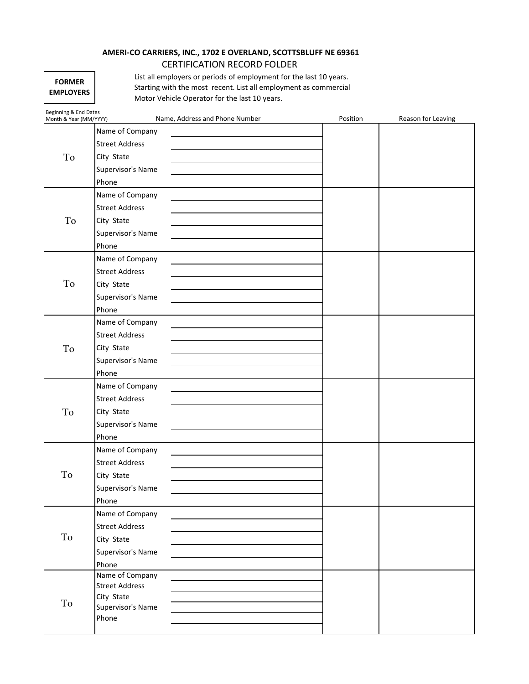# **AMERI-CO CARRIERS, INC., 1702 E OVERLAND, SCOTTSBLUFF NE 69361** CERTIFICATION RECORD FOLDER

| <b>FORMER</b>    |
|------------------|
| <b>EMPLOYERS</b> |

List all employers or periods of employment for the last 10 years. Starting with the most recent. List all employment as commercial Motor Vehicle Operator for the last 10 years.

| Beginning & End Dates<br>Month & Year (MM/YYYY) | Name, Address and Phone Number      | Position | Reason for Leaving |
|-------------------------------------------------|-------------------------------------|----------|--------------------|
|                                                 | Name of Company                     |          |                    |
|                                                 | <b>Street Address</b>               |          |                    |
| To                                              | City State                          |          |                    |
|                                                 | Supervisor's Name                   |          |                    |
|                                                 | Phone                               |          |                    |
|                                                 | Name of Company                     |          |                    |
|                                                 | <b>Street Address</b>               |          |                    |
| To                                              | City State                          |          |                    |
|                                                 | Supervisor's Name                   |          |                    |
|                                                 | Phone                               |          |                    |
|                                                 | Name of Company                     |          |                    |
|                                                 | <b>Street Address</b>               |          |                    |
| To                                              | City State                          |          |                    |
|                                                 | Supervisor's Name                   |          |                    |
|                                                 | Phone                               |          |                    |
|                                                 | Name of Company                     |          |                    |
|                                                 | <b>Street Address</b>               |          |                    |
| To                                              | City State                          |          |                    |
|                                                 | Supervisor's Name                   |          |                    |
|                                                 | Phone                               |          |                    |
|                                                 | Name of Company                     |          |                    |
|                                                 | <b>Street Address</b>               |          |                    |
| To                                              | City State                          |          |                    |
|                                                 | Supervisor's Name                   |          |                    |
|                                                 | Phone                               |          |                    |
|                                                 | Name of Company                     |          |                    |
|                                                 | <b>Street Address</b>               |          |                    |
| To                                              | City State                          |          |                    |
|                                                 | Supervisor's Name                   |          |                    |
|                                                 | Phone                               |          |                    |
|                                                 | Name of Company                     |          |                    |
|                                                 | <b>Street Address</b>               |          |                    |
| To                                              | City State                          |          |                    |
|                                                 | Supervisor's Name                   |          |                    |
|                                                 | Phone                               |          |                    |
|                                                 | Name of Company                     |          |                    |
|                                                 | <b>Street Address</b><br>City State |          |                    |
| To                                              | Supervisor's Name                   |          |                    |
|                                                 | Phone                               |          |                    |
|                                                 |                                     |          |                    |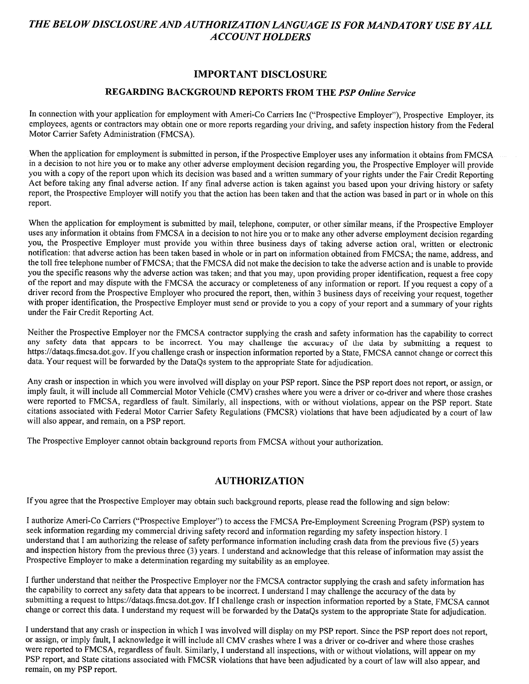# THE BELOW DISCLOSURE AND AUTHORIZATION LANGUAGE IS FOR MANDATORY USE BY ALL **ACCOUNT HOLDERS**

# **IMPORTANT DISCLOSURE**

# REGARDING BACKGROUND REPORTS FROM THE PSP Online Service

In connection with your application for employment with Ameri-Co Carriers Inc ("Prospective Employer"), Prospective Employer, its employees, agents or contractors may obtain one or more reports regarding your driving, and safety inspection history from the Federal Motor Carrier Safety Administration (FMCSA).

When the application for employment is submitted in person, if the Prospective Employer uses any information it obtains from FMCSA in a decision to not hire you or to make any other adverse employment decision regarding you, the Prospective Employer will provide you with a copy of the report upon which its decision was based and a written summary of your rights under the Fair Credit Reporting Act before taking any final adverse action. If any final adverse action is taken against you based upon your driving history or safety report, the Prospective Employer will notify you that the action has been taken and that the action was based in part or in whole on this report.

When the application for employment is submitted by mail, telephone, computer, or other similar means, if the Prospective Employer uses any information it obtains from FMCSA in a decision to not hire you or to make any other adverse employment decision regarding you, the Prospective Employer must provide you within three business days of taking adverse action oral, written or electronic notification: that adverse action has been taken based in whole or in part on information obtained from FMCSA; the name, address, and the toll free telephone number of FMCSA; that the FMCSA did not make the decision to take the adverse action and is unable to provide you the specific reasons why the adverse action was taken; and that you may, upon providing proper identification, request a free copy of the report and may dispute with the FMCSA the accuracy or completeness of any information or report. If you request a copy of a driver record from the Prospective Employer who procured the report, then, within 3 business days of receiving your request, together with proper identification, the Prospective Employer must send or provide to you a copy of your report and a summary of your rights under the Fair Credit Reporting Act.

Neither the Prospective Employer nor the FMCSA contractor supplying the crash and safety information has the capability to correct any safety data that appears to be incorrect. You may challenge the accuracy of the data by submitting a request to https://dataqs.fmcsa.dot.gov. If you challenge crash or inspection information reported by a State, FMCSA cannot change or correct this data. Your request will be forwarded by the DataQs system to the appropriate State for adjudication.

Any crash or inspection in which you were involved will display on your PSP report. Since the PSP report does not report, or assign, or imply fault, it will include all Commercial Motor Vehicle (CMV) crashes where you were a driver or co-driver and where those crashes were reported to FMCSA, regardless of fault. Similarly, all inspections, with or without violations, appear on the PSP report. State citations associated with Federal Motor Carrier Safety Regulations (FMCSR) violations that have been adjudicated by a court of law will also appear, and remain, on a PSP report.

The Prospective Employer cannot obtain background reports from FMCSA without your authorization.

# **AUTHORIZATION**

If you agree that the Prospective Employer may obtain such background reports, please read the following and sign below:

I authorize Ameri-Co Carriers ("Prospective Employer") to access the FMCSA Pre-Employment Screening Program (PSP) system to seek information regarding my commercial driving safety record and information regarding my safety inspection history. I understand that I am authorizing the release of safety performance information including crash data from the previous five (5) years and inspection history from the previous three (3) years. I understand and acknowledge that this release of information may assist the Prospective Employer to make a determination regarding my suitability as an employee.

I further understand that neither the Prospective Employer nor the FMCSA contractor supplying the crash and safety information has the capability to correct any safety data that appears to be incorrect. I understand I may challenge the accuracy of the data by submitting a request to https://dataqs.fmcsa.dot.gov. If I challenge crash or inspection information reported by a State, FMCSA cannot change or correct this data. I understand my request will be forwarded by the DataQs system to the appropriate State for adjudication.

I understand that any crash or inspection in which I was involved will display on my PSP report. Since the PSP report does not report, or assign, or imply fault, I acknowledge it will include all CMV crashes where I was a driver or co-driver and where those crashes were reported to FMCSA, regardless of fault. Similarly, I understand all inspections, with or without violations, will appear on my PSP report, and State citations associated with FMCSR violations that have been adjudicated by a court of law will also appear, and remain, on my PSP report.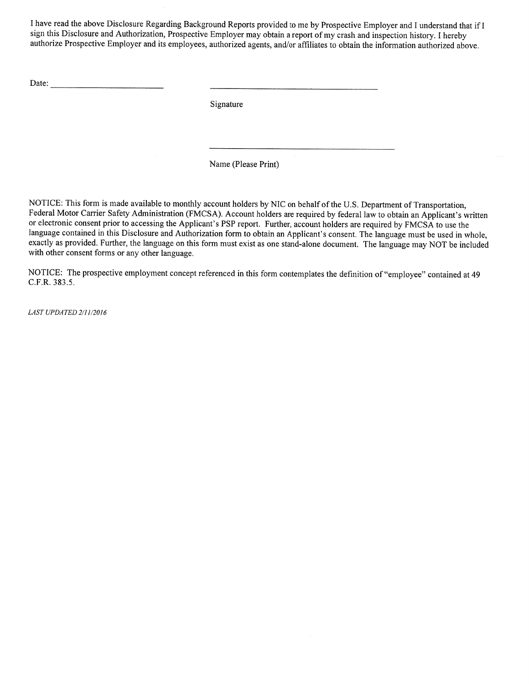I have read the above Disclosure Regarding Background Reports provided to me by Prospective Employer and I understand that if I sign this Disclosure and Authorization, Prospective Employer may obtain a report of my crash and inspection history. I hereby authorize Prospective Employer and its employees, authorized agents, and/or affiliates to obtain the information authorized above.

Date:

Signature

Name (Please Print)

NOTICE: This form is made available to monthly account holders by NIC on behalf of the U.S. Department of Transportation, Federal Motor Carrier Safety Administration (FMCSA). Account holders are required by federal law to obtain an Applicant's written or electronic consent prior to accessing the Applicant's PSP report. Further, account holders are required by FMCSA to use the language contained in this Disclosure and Authorization form to obtain an Applicant's consent. The language must be used in whole, exactly as provided. Further, the language on this form must exist as one stand-alone document. The language may NOT be included with other consent forms or any other language.

NOTICE: The prospective employment concept referenced in this form contemplates the definition of "employee" contained at 49 C.F.R. 383.5.

LAST UPDATED 2/11/2016